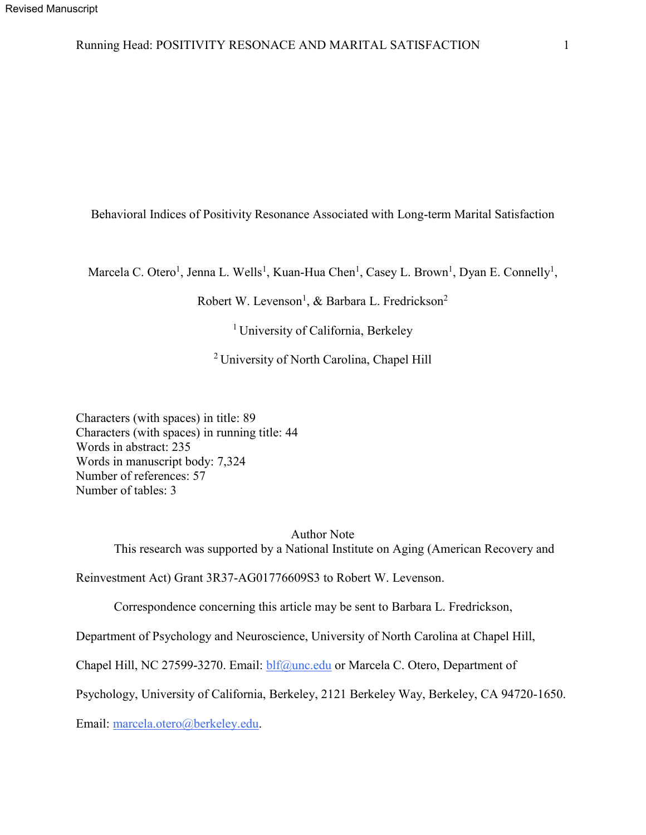# Running Head: POSITIVITY RESONACE AND MARITAL SATISFACTION 1

Behavioral Indices of Positivity Resonance Associated with Long-term Marital Satisfaction

Marcela C. Otero<sup>1</sup>, Jenna L. Wells<sup>1</sup>, Kuan-Hua Chen<sup>1</sup>, Casey L. Brown<sup>1</sup>, Dyan E. Connelly<sup>1</sup>,

Robert W. Levenson<sup>1</sup>, & Barbara L. Fredrickson<sup>2</sup>

<sup>1</sup> University of California, Berkeley

2 University of North Carolina, Chapel Hill

Characters (with spaces) in title: 89 Characters (with spaces) in running title: 44 Words in abstract: 235 Words in manuscript body: 7,324 Number of references: 57 Number of tables: 3

> Author Note This research was supported by a National Institute on Aging (American Recovery and

Reinvestment Act) Grant 3R37-AG01776609S3 to Robert W. Levenson.

Correspondence concerning this article may be sent to Barbara L. Fredrickson,

Department of Psychology and Neuroscience, University of North Carolina at Chapel Hill,

Chapel Hill, NC 27599-3270. Email: *blf@unc.edu* or Marcela C. Otero, Department of

Psychology, University of California, Berkeley, 2121 Berkeley Way, Berkeley, CA 94720-1650.

Email: marcela.otero@berkeley.edu.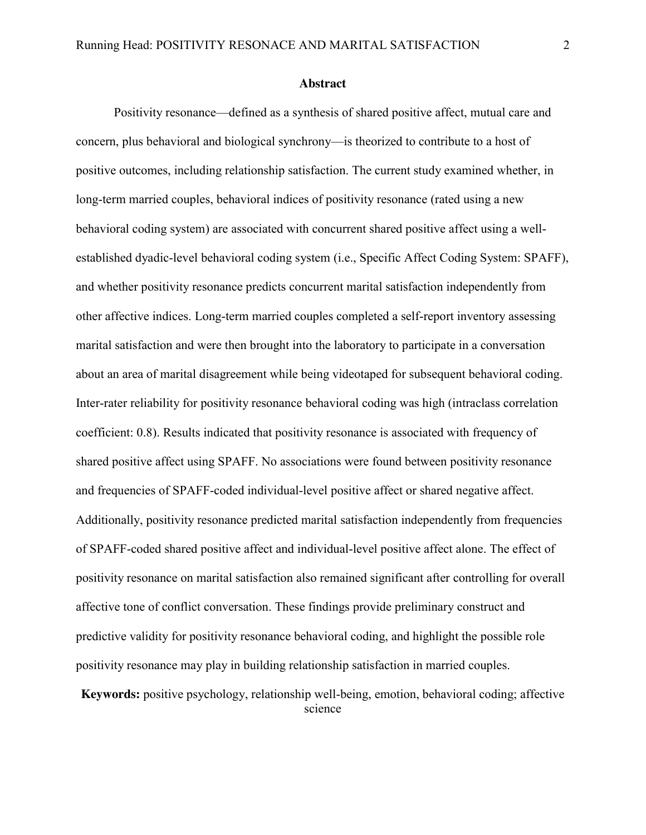#### **Abstract**

Positivity resonance—defined as a synthesis of shared positive affect, mutual care and concern, plus behavioral and biological synchrony—is theorized to contribute to a host of positive outcomes, including relationship satisfaction. The current study examined whether, in long-term married couples, behavioral indices of positivity resonance (rated using a new behavioral coding system) are associated with concurrent shared positive affect using a wellestablished dyadic-level behavioral coding system (i.e., Specific Affect Coding System: SPAFF), and whether positivity resonance predicts concurrent marital satisfaction independently from other affective indices. Long-term married couples completed a self-report inventory assessing marital satisfaction and were then brought into the laboratory to participate in a conversation about an area of marital disagreement while being videotaped for subsequent behavioral coding. Inter-rater reliability for positivity resonance behavioral coding was high (intraclass correlation coefficient: 0.8). Results indicated that positivity resonance is associated with frequency of shared positive affect using SPAFF. No associations were found between positivity resonance and frequencies of SPAFF-coded individual-level positive affect or shared negative affect. Additionally, positivity resonance predicted marital satisfaction independently from frequencies of SPAFF-coded shared positive affect and individual-level positive affect alone. The effect of positivity resonance on marital satisfaction also remained significant after controlling for overall affective tone of conflict conversation. These findings provide preliminary construct and predictive validity for positivity resonance behavioral coding, and highlight the possible role positivity resonance may play in building relationship satisfaction in married couples.

**Keywords:** positive psychology, relationship well-being, emotion, behavioral coding; affective science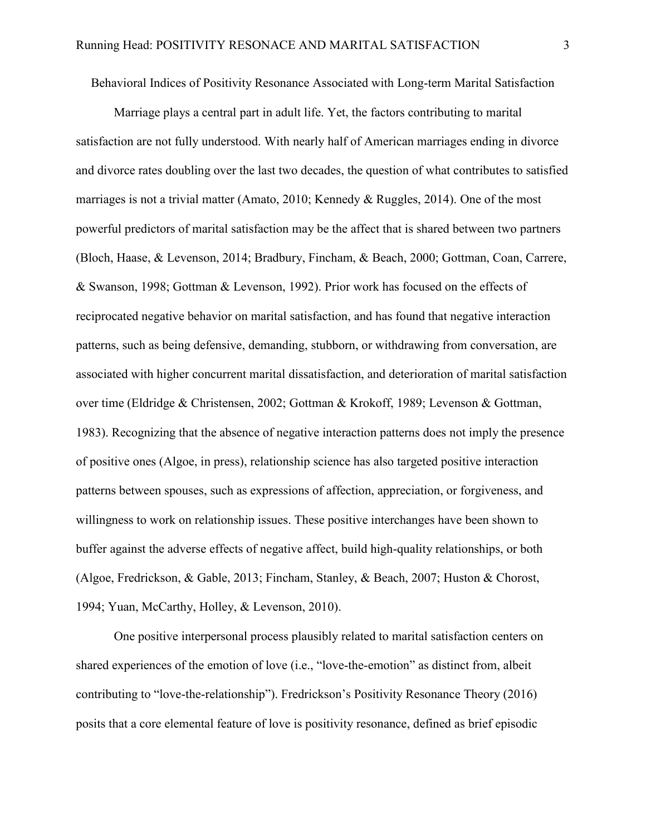Behavioral Indices of Positivity Resonance Associated with Long-term Marital Satisfaction

Marriage plays a central part in adult life. Yet, the factors contributing to marital satisfaction are not fully understood. With nearly half of American marriages ending in divorce and divorce rates doubling over the last two decades, the question of what contributes to satisfied marriages is not a trivial matter (Amato, 2010; Kennedy & Ruggles, 2014). One of the most powerful predictors of marital satisfaction may be the affect that is shared between two partners (Bloch, Haase, & Levenson, 2014; Bradbury, Fincham, & Beach, 2000; Gottman, Coan, Carrere, & Swanson, 1998; Gottman & Levenson, 1992). Prior work has focused on the effects of reciprocated negative behavior on marital satisfaction, and has found that negative interaction patterns, such as being defensive, demanding, stubborn, or withdrawing from conversation, are associated with higher concurrent marital dissatisfaction, and deterioration of marital satisfaction over time (Eldridge & Christensen, 2002; Gottman & Krokoff, 1989; Levenson & Gottman, 1983). Recognizing that the absence of negative interaction patterns does not imply the presence of positive ones (Algoe, in press), relationship science has also targeted positive interaction patterns between spouses, such as expressions of affection, appreciation, or forgiveness, and willingness to work on relationship issues. These positive interchanges have been shown to buffer against the adverse effects of negative affect, build high-quality relationships, or both (Algoe, Fredrickson, & Gable, 2013; Fincham, Stanley, & Beach, 2007; Huston & Chorost, 1994; Yuan, McCarthy, Holley, & Levenson, 2010).

One positive interpersonal process plausibly related to marital satisfaction centers on shared experiences of the emotion of love (i.e., "love-the-emotion" as distinct from, albeit contributing to "love-the-relationship"). Fredrickson's Positivity Resonance Theory (2016) posits that a core elemental feature of love is positivity resonance, defined as brief episodic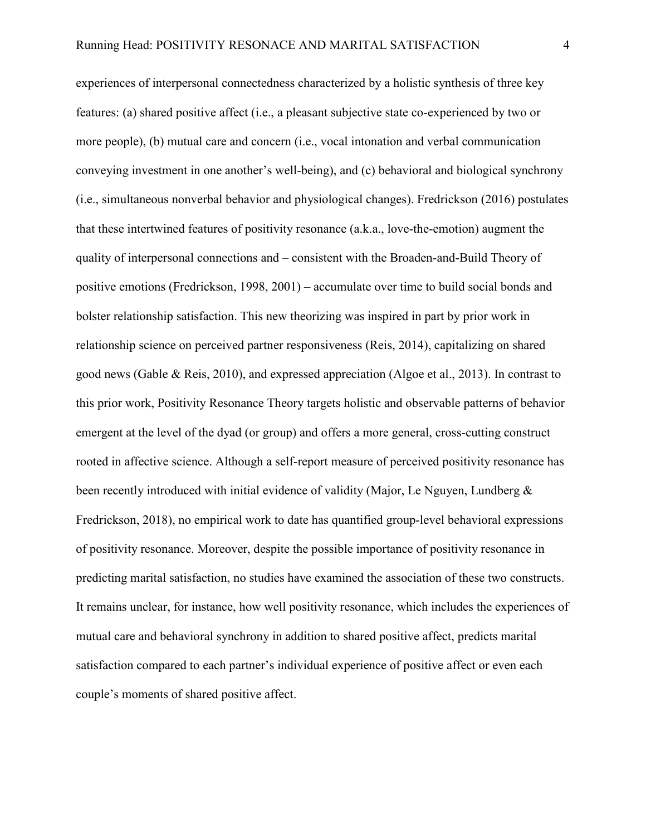experiences of interpersonal connectedness characterized by a holistic synthesis of three key features: (a) shared positive affect (i.e., a pleasant subjective state co-experienced by two or more people), (b) mutual care and concern (i.e., vocal intonation and verbal communication conveying investment in one another's well-being), and (c) behavioral and biological synchrony (i.e., simultaneous nonverbal behavior and physiological changes). Fredrickson (2016) postulates that these intertwined features of positivity resonance (a.k.a., love-the-emotion) augment the quality of interpersonal connections and – consistent with the Broaden-and-Build Theory of positive emotions (Fredrickson, 1998, 2001) – accumulate over time to build social bonds and bolster relationship satisfaction. This new theorizing was inspired in part by prior work in relationship science on perceived partner responsiveness (Reis, 2014), capitalizing on shared good news (Gable & Reis, 2010), and expressed appreciation (Algoe et al., 2013). In contrast to this prior work, Positivity Resonance Theory targets holistic and observable patterns of behavior emergent at the level of the dyad (or group) and offers a more general, cross-cutting construct rooted in affective science. Although a self-report measure of perceived positivity resonance has been recently introduced with initial evidence of validity (Major, Le Nguyen, Lundberg & Fredrickson, 2018), no empirical work to date has quantified group-level behavioral expressions of positivity resonance. Moreover, despite the possible importance of positivity resonance in predicting marital satisfaction, no studies have examined the association of these two constructs. It remains unclear, for instance, how well positivity resonance, which includes the experiences of mutual care and behavioral synchrony in addition to shared positive affect, predicts marital satisfaction compared to each partner's individual experience of positive affect or even each couple's moments of shared positive affect.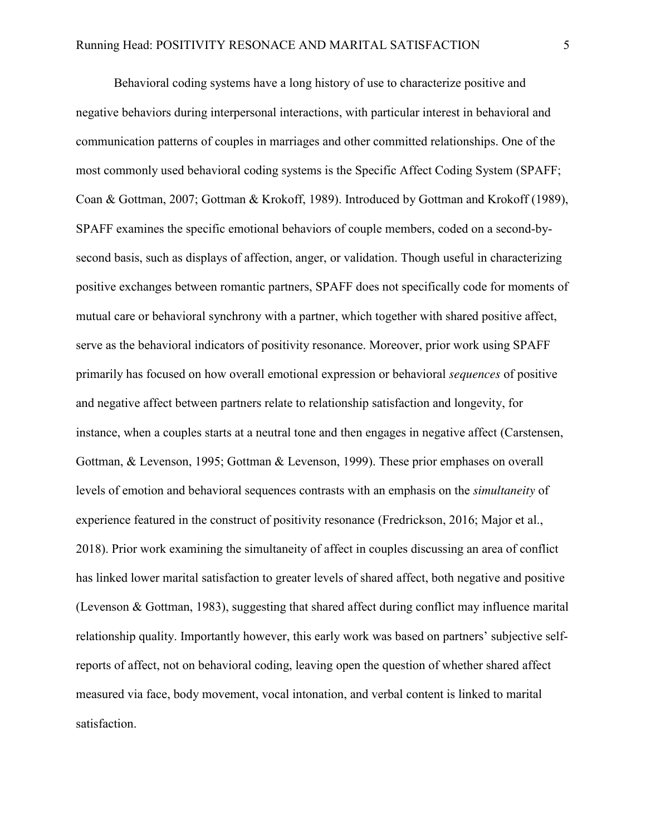Behavioral coding systems have a long history of use to characterize positive and negative behaviors during interpersonal interactions, with particular interest in behavioral and communication patterns of couples in marriages and other committed relationships. One of the most commonly used behavioral coding systems is the Specific Affect Coding System (SPAFF; Coan & Gottman, 2007; Gottman & Krokoff, 1989). Introduced by Gottman and Krokoff (1989), SPAFF examines the specific emotional behaviors of couple members, coded on a second-bysecond basis, such as displays of affection, anger, or validation. Though useful in characterizing positive exchanges between romantic partners, SPAFF does not specifically code for moments of mutual care or behavioral synchrony with a partner, which together with shared positive affect, serve as the behavioral indicators of positivity resonance. Moreover, prior work using SPAFF primarily has focused on how overall emotional expression or behavioral *sequences* of positive and negative affect between partners relate to relationship satisfaction and longevity, for instance, when a couples starts at a neutral tone and then engages in negative affect (Carstensen, Gottman, & Levenson, 1995; Gottman & Levenson, 1999). These prior emphases on overall levels of emotion and behavioral sequences contrasts with an emphasis on the *simultaneity* of experience featured in the construct of positivity resonance (Fredrickson, 2016; Major et al., 2018). Prior work examining the simultaneity of affect in couples discussing an area of conflict has linked lower marital satisfaction to greater levels of shared affect, both negative and positive (Levenson & Gottman, 1983), suggesting that shared affect during conflict may influence marital relationship quality. Importantly however, this early work was based on partners' subjective selfreports of affect, not on behavioral coding, leaving open the question of whether shared affect measured via face, body movement, vocal intonation, and verbal content is linked to marital satisfaction.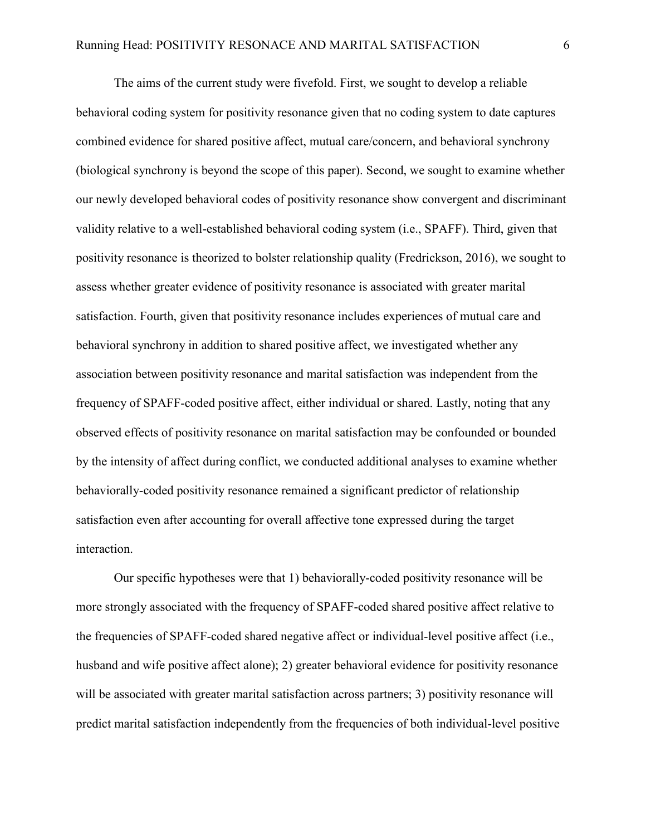The aims of the current study were fivefold. First, we sought to develop a reliable behavioral coding system for positivity resonance given that no coding system to date captures combined evidence for shared positive affect, mutual care/concern, and behavioral synchrony (biological synchrony is beyond the scope of this paper). Second, we sought to examine whether our newly developed behavioral codes of positivity resonance show convergent and discriminant validity relative to a well-established behavioral coding system (i.e., SPAFF). Third, given that positivity resonance is theorized to bolster relationship quality (Fredrickson, 2016), we sought to assess whether greater evidence of positivity resonance is associated with greater marital satisfaction. Fourth, given that positivity resonance includes experiences of mutual care and behavioral synchrony in addition to shared positive affect, we investigated whether any association between positivity resonance and marital satisfaction was independent from the frequency of SPAFF-coded positive affect, either individual or shared. Lastly, noting that any observed effects of positivity resonance on marital satisfaction may be confounded or bounded by the intensity of affect during conflict, we conducted additional analyses to examine whether behaviorally-coded positivity resonance remained a significant predictor of relationship satisfaction even after accounting for overall affective tone expressed during the target interaction.

Our specific hypotheses were that 1) behaviorally-coded positivity resonance will be more strongly associated with the frequency of SPAFF-coded shared positive affect relative to the frequencies of SPAFF-coded shared negative affect or individual-level positive affect (i.e., husband and wife positive affect alone); 2) greater behavioral evidence for positivity resonance will be associated with greater marital satisfaction across partners; 3) positivity resonance will predict marital satisfaction independently from the frequencies of both individual-level positive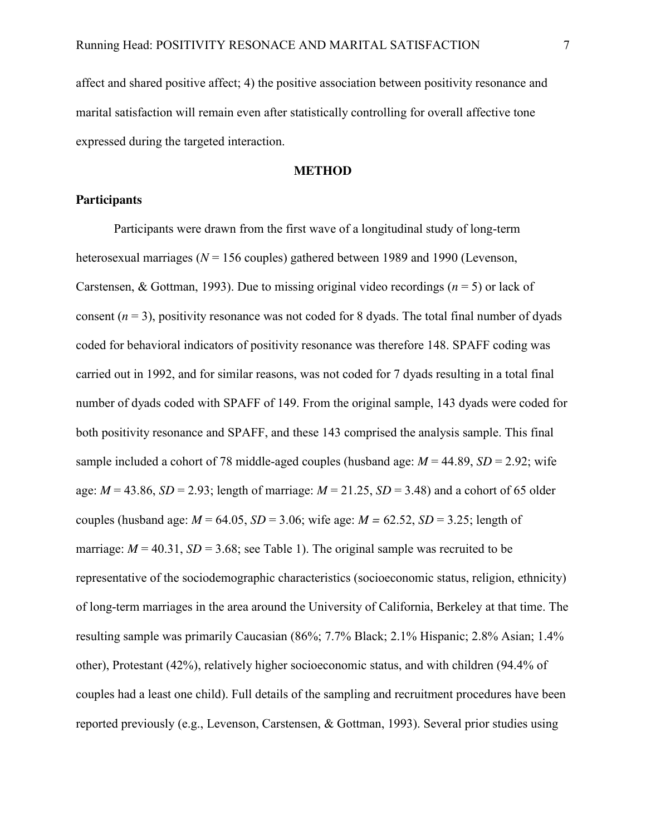affect and shared positive affect; 4) the positive association between positivity resonance and marital satisfaction will remain even after statistically controlling for overall affective tone expressed during the targeted interaction.

## **METHOD**

## **Participants**

Participants were drawn from the first wave of a longitudinal study of long-term heterosexual marriages (*N* = 156 couples) gathered between 1989 and 1990 (Levenson, Carstensen, & Gottman, 1993). Due to missing original video recordings ( $n = 5$ ) or lack of consent  $(n = 3)$ , positivity resonance was not coded for 8 dyads. The total final number of dyads coded for behavioral indicators of positivity resonance was therefore 148. SPAFF coding was carried out in 1992, and for similar reasons, was not coded for 7 dyads resulting in a total final number of dyads coded with SPAFF of 149. From the original sample, 143 dyads were coded for both positivity resonance and SPAFF, and these 143 comprised the analysis sample. This final sample included a cohort of 78 middle-aged couples (husband age:  $M = 44.89$ ,  $SD = 2.92$ ; wife age:  $M = 43.86$ ,  $SD = 2.93$ ; length of marriage:  $M = 21.25$ ,  $SD = 3.48$ ) and a cohort of 65 older couples (husband age:  $M = 64.05$ ,  $SD = 3.06$ ; wife age:  $M = 62.52$ ,  $SD = 3.25$ ; length of marriage:  $M = 40.31$ ,  $SD = 3.68$ ; see Table 1). The original sample was recruited to be representative of the sociodemographic characteristics (socioeconomic status, religion, ethnicity) of long-term marriages in the area around the University of California, Berkeley at that time. The resulting sample was primarily Caucasian (86%; 7.7% Black; 2.1% Hispanic; 2.8% Asian; 1.4% other), Protestant (42%), relatively higher socioeconomic status, and with children (94.4% of couples had a least one child). Full details of the sampling and recruitment procedures have been reported previously (e.g., Levenson, Carstensen, & Gottman, 1993). Several prior studies using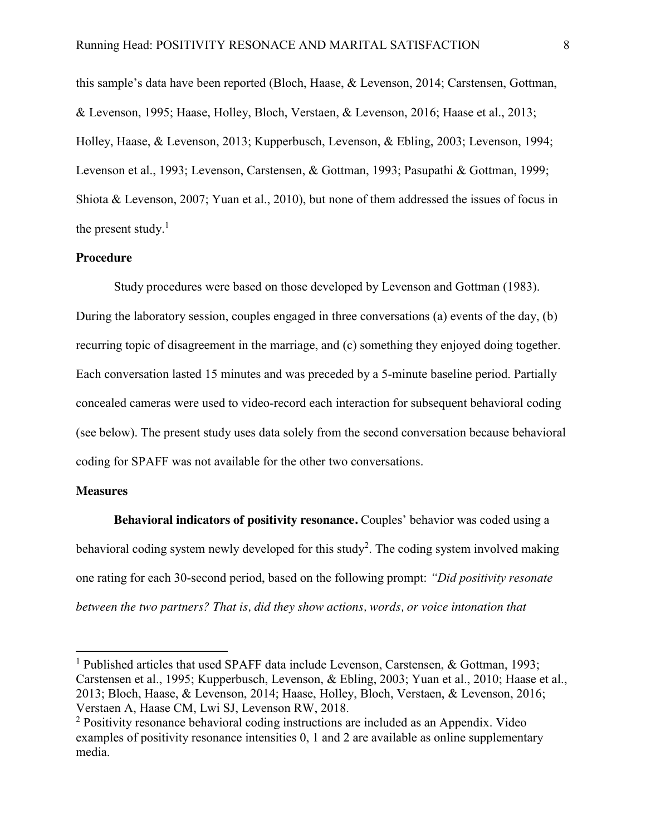this sample's data have been reported (Bloch, Haase, & Levenson, 2014; Carstensen, Gottman, & Levenson, 1995; Haase, Holley, Bloch, Verstaen, & Levenson, 2016; Haase et al., 2013; Holley, Haase, & Levenson, 2013; Kupperbusch, Levenson, & Ebling, 2003; Levenson, 1994; Levenson et al., 1993; Levenson, Carstensen, & Gottman, 1993; Pasupathi & Gottman, 1999; Shiota & Levenson, 2007; Yuan et al., 2010), but none of them addressed the issues of focus in the present study. $<sup>1</sup>$ </sup>

## **Procedure**

Study procedures were based on those developed by Levenson and Gottman (1983). During the laboratory session, couples engaged in three conversations (a) events of the day, (b) recurring topic of disagreement in the marriage, and (c) something they enjoyed doing together. Each conversation lasted 15 minutes and was preceded by a 5-minute baseline period. Partially concealed cameras were used to video-record each interaction for subsequent behavioral coding (see below). The present study uses data solely from the second conversation because behavioral coding for SPAFF was not available for the other two conversations.

#### **Measures**

 $\overline{a}$ 

**Behavioral indicators of positivity resonance.** Couples' behavior was coded using a behavioral coding system newly developed for this study<sup>2</sup>. The coding system involved making one rating for each 30-second period, based on the following prompt: *"Did positivity resonate between the two partners? That is, did they show actions, words, or voice intonation that* 

<sup>&</sup>lt;sup>1</sup> Published articles that used SPAFF data include Levenson, Carstensen,  $\&$  Gottman, 1993; Carstensen et al., 1995; Kupperbusch, Levenson, & Ebling, 2003; Yuan et al., 2010; Haase et al., 2013; Bloch, Haase, & Levenson, 2014; Haase, Holley, Bloch, Verstaen, & Levenson, 2016; Verstaen A, Haase CM, Lwi SJ, Levenson RW, 2018.

<sup>&</sup>lt;sup>2</sup> Positivity resonance behavioral coding instructions are included as an Appendix. Video examples of positivity resonance intensities 0, 1 and 2 are available as online supplementary media.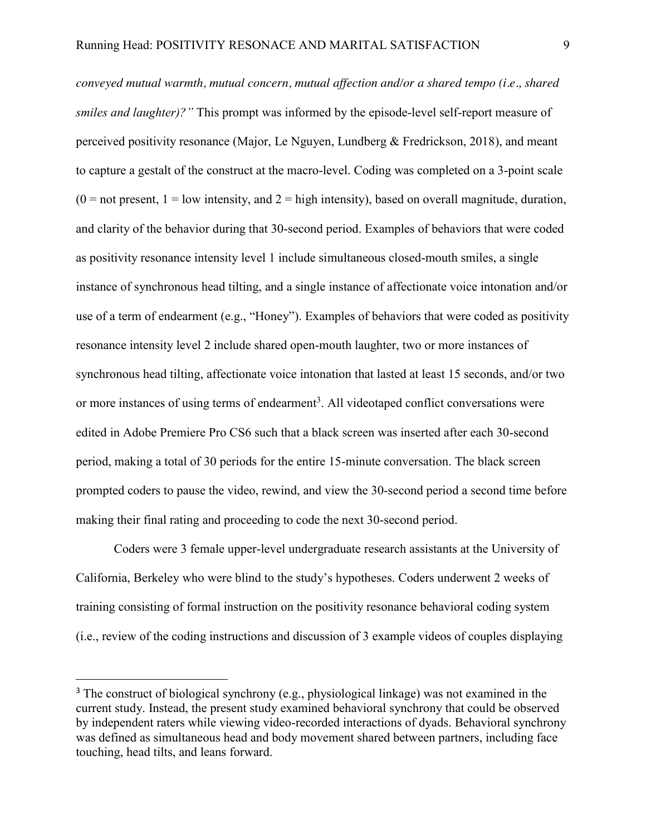*conveyed mutual warmth, mutual concern, mutual affection and/or a shared tempo (i.e., shared smiles and laughter)?"* This prompt was informed by the episode-level self-report measure of perceived positivity resonance (Major, Le Nguyen, Lundberg & Fredrickson, 2018), and meant to capture a gestalt of the construct at the macro-level. Coding was completed on a 3-point scale  $(0 = not present, 1 = low intensity, and 2 = high intensity)$ , based on overall magnitude, duration, and clarity of the behavior during that 30-second period. Examples of behaviors that were coded as positivity resonance intensity level 1 include simultaneous closed-mouth smiles, a single instance of synchronous head tilting, and a single instance of affectionate voice intonation and/or use of a term of endearment (e.g., "Honey"). Examples of behaviors that were coded as positivity resonance intensity level 2 include shared open-mouth laughter, two or more instances of synchronous head tilting, affectionate voice intonation that lasted at least 15 seconds, and/or two or more instances of using terms of endearment<sup>3</sup>. All videotaped conflict conversations were edited in Adobe Premiere Pro CS6 such that a black screen was inserted after each 30-second period, making a total of 30 periods for the entire 15-minute conversation. The black screen prompted coders to pause the video, rewind, and view the 30-second period a second time before making their final rating and proceeding to code the next 30-second period.

Coders were 3 female upper-level undergraduate research assistants at the University of California, Berkeley who were blind to the study's hypotheses. Coders underwent 2 weeks of training consisting of formal instruction on the positivity resonance behavioral coding system (i.e., review of the coding instructions and discussion of 3 example videos of couples displaying

<sup>&</sup>lt;sup>3</sup> The construct of biological synchrony (e.g., physiological linkage) was not examined in the current study. Instead, the present study examined behavioral synchrony that could be observed by independent raters while viewing video-recorded interactions of dyads. Behavioral synchrony was defined as simultaneous head and body movement shared between partners, including face touching, head tilts, and leans forward.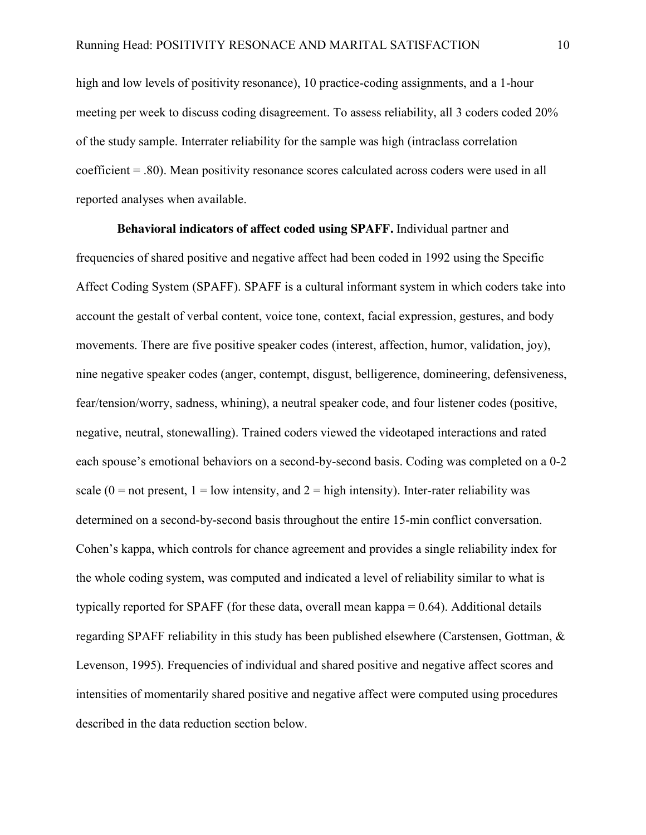high and low levels of positivity resonance), 10 practice-coding assignments, and a 1-hour meeting per week to discuss coding disagreement. To assess reliability, all 3 coders coded 20% of the study sample. Interrater reliability for the sample was high (intraclass correlation coefficient = .80). Mean positivity resonance scores calculated across coders were used in all reported analyses when available.

**Behavioral indicators of affect coded using SPAFF.** Individual partner and frequencies of shared positive and negative affect had been coded in 1992 using the Specific Affect Coding System (SPAFF). SPAFF is a cultural informant system in which coders take into account the gestalt of verbal content, voice tone, context, facial expression, gestures, and body movements. There are five positive speaker codes (interest, affection, humor, validation, joy), nine negative speaker codes (anger, contempt, disgust, belligerence, domineering, defensiveness, fear/tension/worry, sadness, whining), a neutral speaker code, and four listener codes (positive, negative, neutral, stonewalling). Trained coders viewed the videotaped interactions and rated each spouse's emotional behaviors on a second-by-second basis. Coding was completed on a 0-2 scale ( $0 =$  not present,  $1 =$  low intensity, and  $2 =$  high intensity). Inter-rater reliability was determined on a second-by-second basis throughout the entire 15-min conflict conversation. Cohen's kappa, which controls for chance agreement and provides a single reliability index for the whole coding system, was computed and indicated a level of reliability similar to what is typically reported for SPAFF (for these data, overall mean kappa = 0.64). Additional details regarding SPAFF reliability in this study has been published elsewhere (Carstensen, Gottman, & Levenson, 1995). Frequencies of individual and shared positive and negative affect scores and intensities of momentarily shared positive and negative affect were computed using procedures described in the data reduction section below.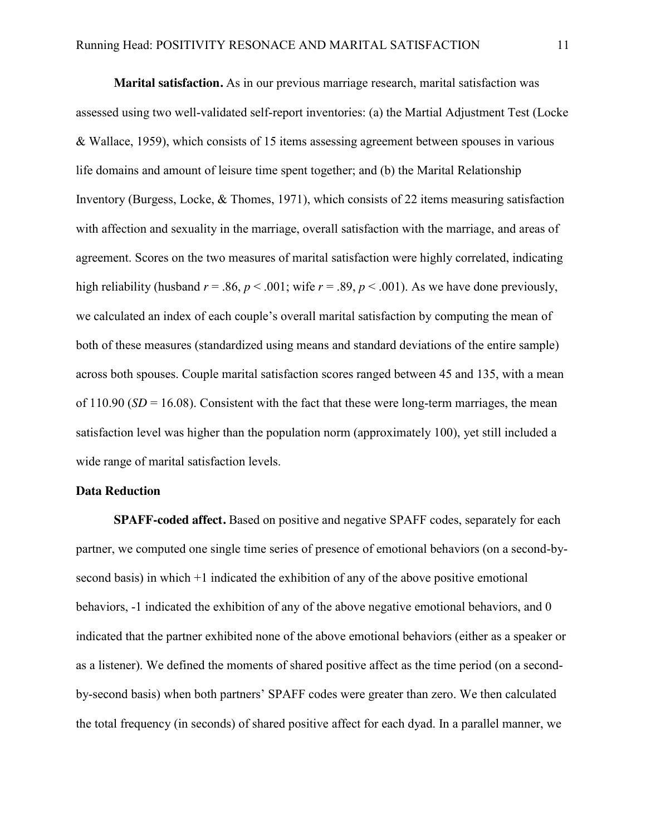**Marital satisfaction.** As in our previous marriage research, marital satisfaction was assessed using two well-validated self-report inventories: (a) the Martial Adjustment Test (Locke & Wallace, 1959), which consists of 15 items assessing agreement between spouses in various life domains and amount of leisure time spent together; and (b) the Marital Relationship Inventory (Burgess, Locke, & Thomes, 1971), which consists of 22 items measuring satisfaction with affection and sexuality in the marriage, overall satisfaction with the marriage, and areas of agreement. Scores on the two measures of marital satisfaction were highly correlated, indicating high reliability (husband  $r = .86$ ,  $p < .001$ ; wife  $r = .89$ ,  $p < .001$ ). As we have done previously, we calculated an index of each couple's overall marital satisfaction by computing the mean of both of these measures (standardized using means and standard deviations of the entire sample) across both spouses. Couple marital satisfaction scores ranged between 45 and 135, with a mean of  $110.90$  (*SD* = 16.08). Consistent with the fact that these were long-term marriages, the mean satisfaction level was higher than the population norm (approximately 100), yet still included a wide range of marital satisfaction levels.

#### **Data Reduction**

 **SPAFF-coded affect.** Based on positive and negative SPAFF codes, separately for each partner, we computed one single time series of presence of emotional behaviors (on a second-bysecond basis) in which +1 indicated the exhibition of any of the above positive emotional behaviors, -1 indicated the exhibition of any of the above negative emotional behaviors, and 0 indicated that the partner exhibited none of the above emotional behaviors (either as a speaker or as a listener). We defined the moments of shared positive affect as the time period (on a secondby-second basis) when both partners' SPAFF codes were greater than zero. We then calculated the total frequency (in seconds) of shared positive affect for each dyad. In a parallel manner, we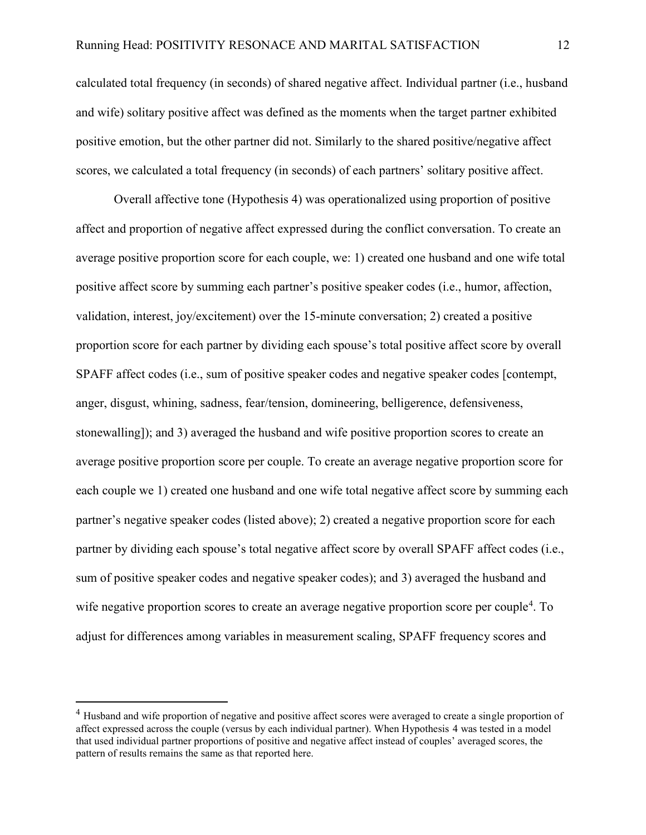calculated total frequency (in seconds) of shared negative affect. Individual partner (i.e., husband and wife) solitary positive affect was defined as the moments when the target partner exhibited positive emotion, but the other partner did not. Similarly to the shared positive/negative affect scores, we calculated a total frequency (in seconds) of each partners' solitary positive affect.

Overall affective tone (Hypothesis 4) was operationalized using proportion of positive affect and proportion of negative affect expressed during the conflict conversation. To create an average positive proportion score for each couple, we: 1) created one husband and one wife total positive affect score by summing each partner's positive speaker codes (i.e., humor, affection, validation, interest, joy/excitement) over the 15-minute conversation; 2) created a positive proportion score for each partner by dividing each spouse's total positive affect score by overall SPAFF affect codes (i.e., sum of positive speaker codes and negative speaker codes [contempt, anger, disgust, whining, sadness, fear/tension, domineering, belligerence, defensiveness, stonewalling]); and 3) averaged the husband and wife positive proportion scores to create an average positive proportion score per couple. To create an average negative proportion score for each couple we 1) created one husband and one wife total negative affect score by summing each partner's negative speaker codes (listed above); 2) created a negative proportion score for each partner by dividing each spouse's total negative affect score by overall SPAFF affect codes (i.e., sum of positive speaker codes and negative speaker codes); and 3) averaged the husband and wife negative proportion scores to create an average negative proportion score per couple<sup>4</sup>. To adjust for differences among variables in measurement scaling, SPAFF frequency scores and

 $\overline{a}$ 

<sup>&</sup>lt;sup>4</sup> Husband and wife proportion of negative and positive affect scores were averaged to create a single proportion of affect expressed across the couple (versus by each individual partner). When Hypothesis 4 was tested in a model that used individual partner proportions of positive and negative affect instead of couples' averaged scores, the pattern of results remains the same as that reported here.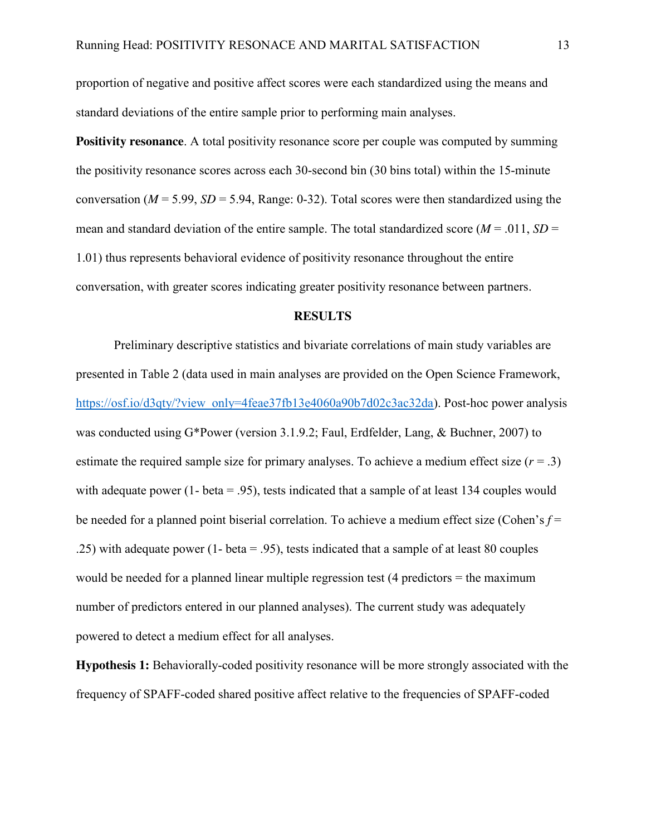proportion of negative and positive affect scores were each standardized using the means and standard deviations of the entire sample prior to performing main analyses.

**Positivity resonance**. A total positivity resonance score per couple was computed by summing the positivity resonance scores across each 30-second bin (30 bins total) within the 15-minute conversation ( $M = 5.99$ ,  $SD = 5.94$ , Range: 0-32). Total scores were then standardized using the mean and standard deviation of the entire sample. The total standardized score ( $M = .011$ ,  $SD =$ 1.01) thus represents behavioral evidence of positivity resonance throughout the entire conversation, with greater scores indicating greater positivity resonance between partners.

#### **RESULTS**

Preliminary descriptive statistics and bivariate correlations of main study variables are presented in Table 2 (data used in main analyses are provided on the Open Science Framework, https://osf.io/d3qty/?view\_only=4feae37fb13e4060a90b7d02c3ac32da). Post-hoc power analysis was conducted using G\*Power (version 3.1.9.2; Faul, Erdfelder, Lang, & Buchner, 2007) to estimate the required sample size for primary analyses. To achieve a medium effect size  $(r = .3)$ with adequate power (1- beta = .95), tests indicated that a sample of at least 134 couples would be needed for a planned point biserial correlation. To achieve a medium effect size (Cohen's *f* = .25) with adequate power (1- beta = .95), tests indicated that a sample of at least 80 couples would be needed for a planned linear multiple regression test (4 predictors = the maximum number of predictors entered in our planned analyses). The current study was adequately powered to detect a medium effect for all analyses.

**Hypothesis 1:** Behaviorally-coded positivity resonance will be more strongly associated with the frequency of SPAFF-coded shared positive affect relative to the frequencies of SPAFF-coded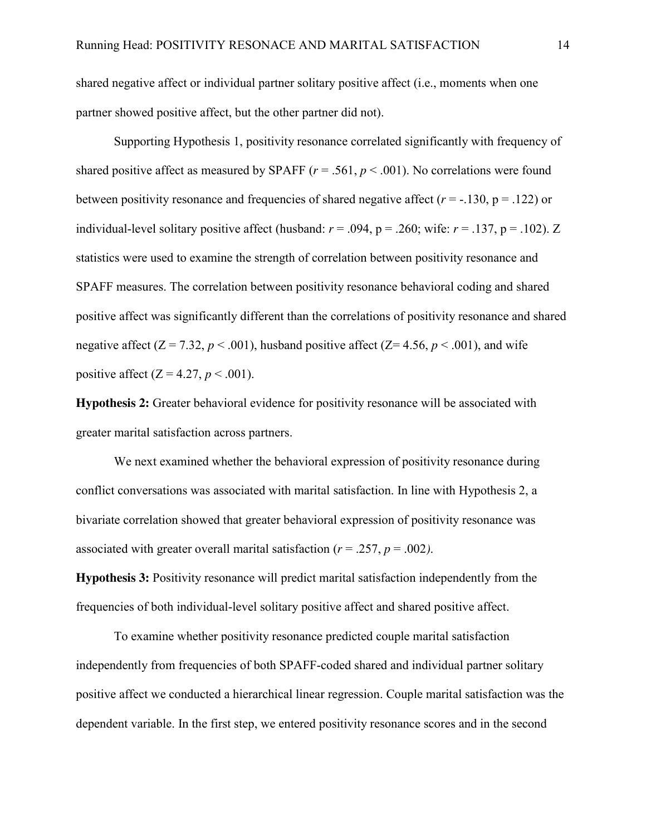shared negative affect or individual partner solitary positive affect (i.e., moments when one partner showed positive affect, but the other partner did not).

Supporting Hypothesis 1, positivity resonance correlated significantly with frequency of shared positive affect as measured by SPAFF  $(r = .561, p < .001)$ . No correlations were found between positivity resonance and frequencies of shared negative affect  $(r = -130, p = 0.122)$  or individual-level solitary positive affect (husband:  $r = .094$ ,  $p = .260$ ; wife:  $r = .137$ ,  $p = .102$ ). Z statistics were used to examine the strength of correlation between positivity resonance and SPAFF measures. The correlation between positivity resonance behavioral coding and shared positive affect was significantly different than the correlations of positivity resonance and shared negative affect  $(Z = 7.32, p < .001)$ , husband positive affect  $(Z = 4.56, p < .001)$ , and wife positive affect  $(Z = 4.27, p < .001)$ .

**Hypothesis 2:** Greater behavioral evidence for positivity resonance will be associated with greater marital satisfaction across partners.

We next examined whether the behavioral expression of positivity resonance during conflict conversations was associated with marital satisfaction. In line with Hypothesis 2, a bivariate correlation showed that greater behavioral expression of positivity resonance was associated with greater overall marital satisfaction ( $r = .257$ ,  $p = .002$ ).

**Hypothesis 3:** Positivity resonance will predict marital satisfaction independently from the frequencies of both individual-level solitary positive affect and shared positive affect.

To examine whether positivity resonance predicted couple marital satisfaction independently from frequencies of both SPAFF-coded shared and individual partner solitary positive affect we conducted a hierarchical linear regression. Couple marital satisfaction was the dependent variable. In the first step, we entered positivity resonance scores and in the second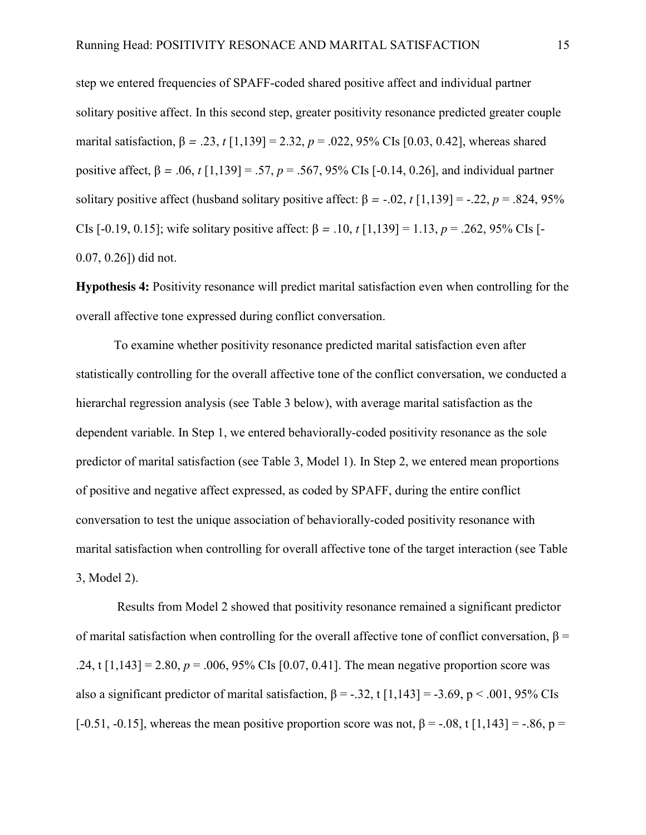step we entered frequencies of SPAFF-coded shared positive affect and individual partner solitary positive affect. In this second step, greater positivity resonance predicted greater couple marital satisfaction, β *=* .23, *t* [1,139] = 2.32, *p* = .022, 95% CIs [0.03, 0.42], whereas shared positive affect,  $β = .06$ ,  $t [1,139] = .57$ ,  $p = .567$ ,  $95%$  CIs [-0.14, 0.26], and individual partner solitary positive affect (husband solitary positive affect:  $\beta$  = -.02, *t* [1,139] = -.22, *p* = .824, 95% CIs [-0.19, 0.15]; wife solitary positive affect: β *=* .10, *t* [1,139] = 1.13, *p* = .262, 95% CIs [- 0.07, 0.26]) did not.

**Hypothesis 4:** Positivity resonance will predict marital satisfaction even when controlling for the overall affective tone expressed during conflict conversation.

To examine whether positivity resonance predicted marital satisfaction even after statistically controlling for the overall affective tone of the conflict conversation, we conducted a hierarchal regression analysis (see Table 3 below), with average marital satisfaction as the dependent variable. In Step 1, we entered behaviorally-coded positivity resonance as the sole predictor of marital satisfaction (see Table 3, Model 1). In Step 2, we entered mean proportions of positive and negative affect expressed, as coded by SPAFF, during the entire conflict conversation to test the unique association of behaviorally-coded positivity resonance with marital satisfaction when controlling for overall affective tone of the target interaction (see Table 3, Model 2).

Results from Model 2 showed that positivity resonance remained a significant predictor of marital satisfaction when controlling for the overall affective tone of conflict conversation,  $\beta$  = .24, t  $[1,143] = 2.80$ ,  $p = .006$ ,  $95\%$  CIs  $[0.07, 0.41]$ . The mean negative proportion score was also a significant predictor of marital satisfaction,  $\beta = -.32$ , t [1,143] = -3.69, p < .001, 95% CIs [-0.51, -0.15], whereas the mean positive proportion score was not,  $\beta$  = -.08, t [1,143] = -.86, p =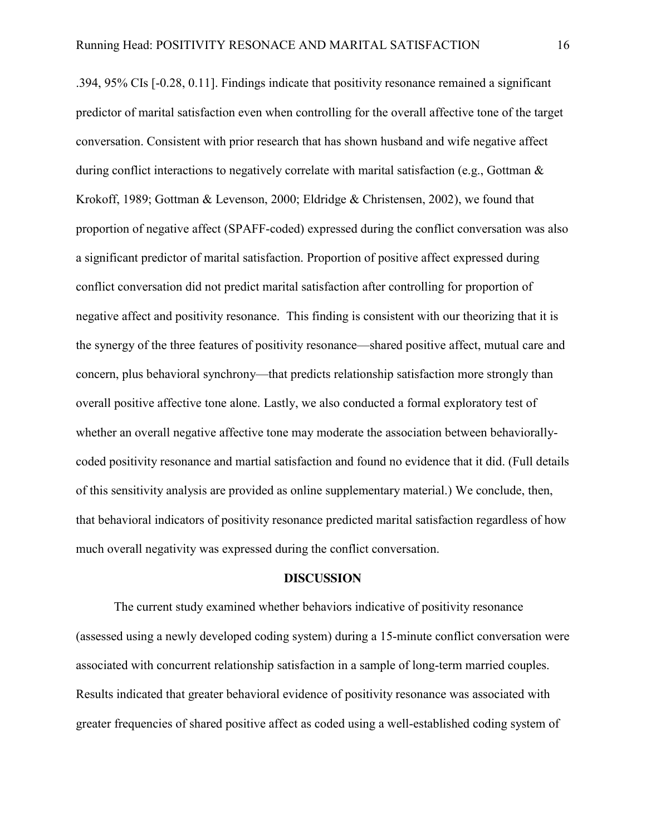.394, 95% CIs [-0.28, 0.11]. Findings indicate that positivity resonance remained a significant predictor of marital satisfaction even when controlling for the overall affective tone of the target conversation. Consistent with prior research that has shown husband and wife negative affect during conflict interactions to negatively correlate with marital satisfaction (e.g., Gottman & Krokoff, 1989; Gottman & Levenson, 2000; Eldridge & Christensen, 2002), we found that proportion of negative affect (SPAFF-coded) expressed during the conflict conversation was also a significant predictor of marital satisfaction. Proportion of positive affect expressed during conflict conversation did not predict marital satisfaction after controlling for proportion of negative affect and positivity resonance. This finding is consistent with our theorizing that it is the synergy of the three features of positivity resonance—shared positive affect, mutual care and concern, plus behavioral synchrony—that predicts relationship satisfaction more strongly than overall positive affective tone alone. Lastly, we also conducted a formal exploratory test of whether an overall negative affective tone may moderate the association between behaviorallycoded positivity resonance and martial satisfaction and found no evidence that it did. (Full details of this sensitivity analysis are provided as online supplementary material.) We conclude, then, that behavioral indicators of positivity resonance predicted marital satisfaction regardless of how much overall negativity was expressed during the conflict conversation.

#### **DISCUSSION**

The current study examined whether behaviors indicative of positivity resonance (assessed using a newly developed coding system) during a 15-minute conflict conversation were associated with concurrent relationship satisfaction in a sample of long-term married couples. Results indicated that greater behavioral evidence of positivity resonance was associated with greater frequencies of shared positive affect as coded using a well-established coding system of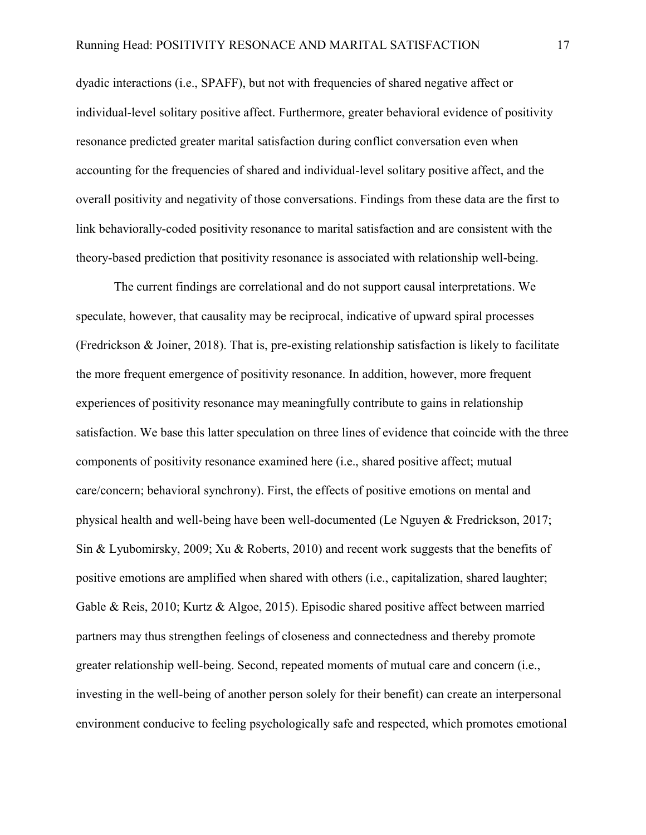dyadic interactions (i.e., SPAFF), but not with frequencies of shared negative affect or individual-level solitary positive affect. Furthermore, greater behavioral evidence of positivity resonance predicted greater marital satisfaction during conflict conversation even when accounting for the frequencies of shared and individual-level solitary positive affect, and the overall positivity and negativity of those conversations. Findings from these data are the first to link behaviorally-coded positivity resonance to marital satisfaction and are consistent with the theory-based prediction that positivity resonance is associated with relationship well-being.

The current findings are correlational and do not support causal interpretations. We speculate, however, that causality may be reciprocal, indicative of upward spiral processes (Fredrickson & Joiner, 2018). That is, pre-existing relationship satisfaction is likely to facilitate the more frequent emergence of positivity resonance. In addition, however, more frequent experiences of positivity resonance may meaningfully contribute to gains in relationship satisfaction. We base this latter speculation on three lines of evidence that coincide with the three components of positivity resonance examined here (i.e., shared positive affect; mutual care/concern; behavioral synchrony). First, the effects of positive emotions on mental and physical health and well-being have been well-documented (Le Nguyen & Fredrickson, 2017; Sin & Lyubomirsky, 2009; Xu & Roberts, 2010) and recent work suggests that the benefits of positive emotions are amplified when shared with others (i.e., capitalization, shared laughter; Gable & Reis, 2010; Kurtz & Algoe, 2015). Episodic shared positive affect between married partners may thus strengthen feelings of closeness and connectedness and thereby promote greater relationship well-being. Second, repeated moments of mutual care and concern (i.e., investing in the well-being of another person solely for their benefit) can create an interpersonal environment conducive to feeling psychologically safe and respected, which promotes emotional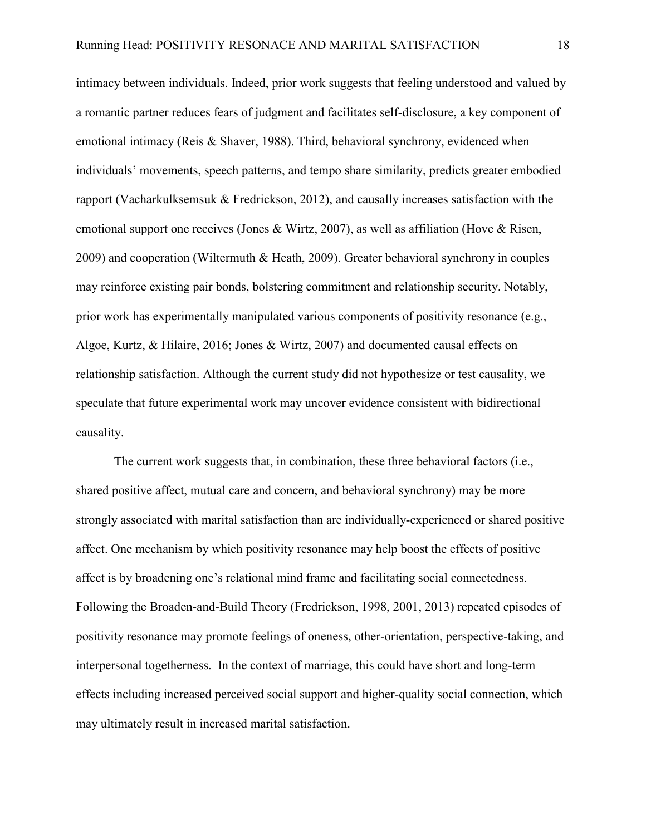intimacy between individuals. Indeed, prior work suggests that feeling understood and valued by a romantic partner reduces fears of judgment and facilitates self-disclosure, a key component of emotional intimacy (Reis & Shaver, 1988). Third, behavioral synchrony, evidenced when individuals' movements, speech patterns, and tempo share similarity, predicts greater embodied rapport (Vacharkulksemsuk & Fredrickson, 2012), and causally increases satisfaction with the emotional support one receives (Jones & Wirtz, 2007), as well as affiliation (Hove & Risen, 2009) and cooperation (Wiltermuth & Heath, 2009). Greater behavioral synchrony in couples may reinforce existing pair bonds, bolstering commitment and relationship security. Notably, prior work has experimentally manipulated various components of positivity resonance (e.g., Algoe, Kurtz, & Hilaire, 2016; Jones & Wirtz, 2007) and documented causal effects on relationship satisfaction. Although the current study did not hypothesize or test causality, we speculate that future experimental work may uncover evidence consistent with bidirectional causality.

The current work suggests that, in combination, these three behavioral factors (i.e., shared positive affect, mutual care and concern, and behavioral synchrony) may be more strongly associated with marital satisfaction than are individually-experienced or shared positive affect. One mechanism by which positivity resonance may help boost the effects of positive affect is by broadening one's relational mind frame and facilitating social connectedness. Following the Broaden-and-Build Theory (Fredrickson, 1998, 2001, 2013) repeated episodes of positivity resonance may promote feelings of oneness, other-orientation, perspective-taking, and interpersonal togetherness. In the context of marriage, this could have short and long-term effects including increased perceived social support and higher-quality social connection, which may ultimately result in increased marital satisfaction.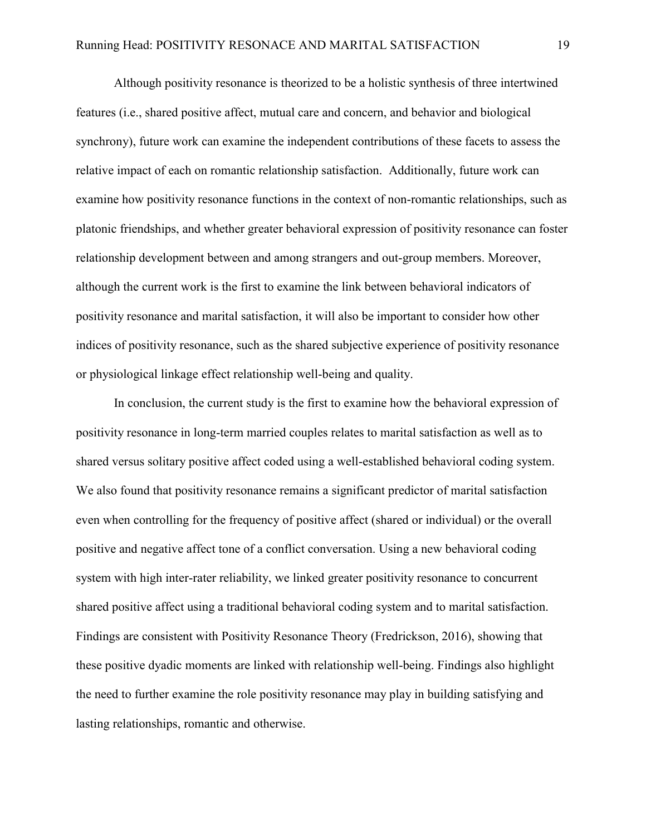Although positivity resonance is theorized to be a holistic synthesis of three intertwined features (i.e., shared positive affect, mutual care and concern, and behavior and biological synchrony), future work can examine the independent contributions of these facets to assess the relative impact of each on romantic relationship satisfaction. Additionally, future work can examine how positivity resonance functions in the context of non-romantic relationships, such as platonic friendships, and whether greater behavioral expression of positivity resonance can foster relationship development between and among strangers and out-group members. Moreover, although the current work is the first to examine the link between behavioral indicators of positivity resonance and marital satisfaction, it will also be important to consider how other indices of positivity resonance, such as the shared subjective experience of positivity resonance or physiological linkage effect relationship well-being and quality.

In conclusion, the current study is the first to examine how the behavioral expression of positivity resonance in long-term married couples relates to marital satisfaction as well as to shared versus solitary positive affect coded using a well-established behavioral coding system. We also found that positivity resonance remains a significant predictor of marital satisfaction even when controlling for the frequency of positive affect (shared or individual) or the overall positive and negative affect tone of a conflict conversation. Using a new behavioral coding system with high inter-rater reliability, we linked greater positivity resonance to concurrent shared positive affect using a traditional behavioral coding system and to marital satisfaction. Findings are consistent with Positivity Resonance Theory (Fredrickson, 2016), showing that these positive dyadic moments are linked with relationship well-being. Findings also highlight the need to further examine the role positivity resonance may play in building satisfying and lasting relationships, romantic and otherwise.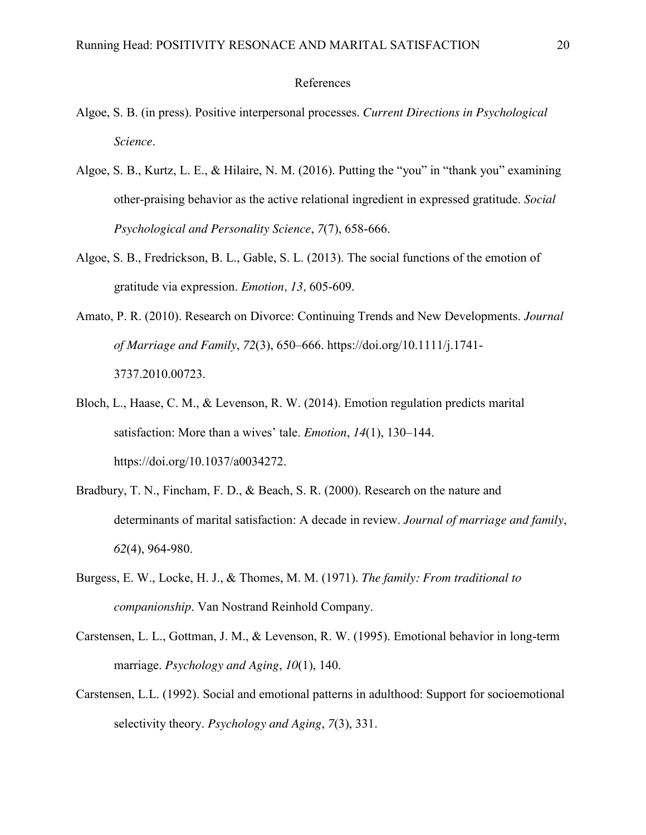## References

- Algoe, S. B. (in press). Positive interpersonal processes. *Current Directions in Psychological Science*.
- Algoe, S. B., Kurtz, L. E., & Hilaire, N. M. (2016). Putting the "you" in "thank you" examining other-praising behavior as the active relational ingredient in expressed gratitude. *Social Psychological and Personality Science*, *7*(7), 658-666.
- Algoe, S. B., Fredrickson, B. L., Gable, S. L. (2013). The social functions of the emotion of gratitude via expression. *Emotion, 13,* 605-609.
- Amato, P. R. (2010). Research on Divorce: Continuing Trends and New Developments. *Journal of Marriage and Family*, *72*(3), 650–666. https://doi.org/10.1111/j.1741- 3737.2010.00723.
- Bloch, L., Haase, C. M., & Levenson, R. W. (2014). Emotion regulation predicts marital satisfaction: More than a wives' tale. *Emotion*, *14*(1), 130–144. https://doi.org/10.1037/a0034272.
- Bradbury, T. N., Fincham, F. D., & Beach, S. R. (2000). Research on the nature and determinants of marital satisfaction: A decade in review. *Journal of marriage and family*, *62*(4), 964-980.
- Burgess, E. W., Locke, H. J., & Thomes, M. M. (1971). *The family: From traditional to companionship*. Van Nostrand Reinhold Company.
- Carstensen, L. L., Gottman, J. M., & Levenson, R. W. (1995). Emotional behavior in long-term marriage. *Psychology and Aging*, *10*(1), 140.
- Carstensen, L.L. (1992). Social and emotional patterns in adulthood: Support for socioemotional selectivity theory. *Psychology and Aging*, *7*(3), 331.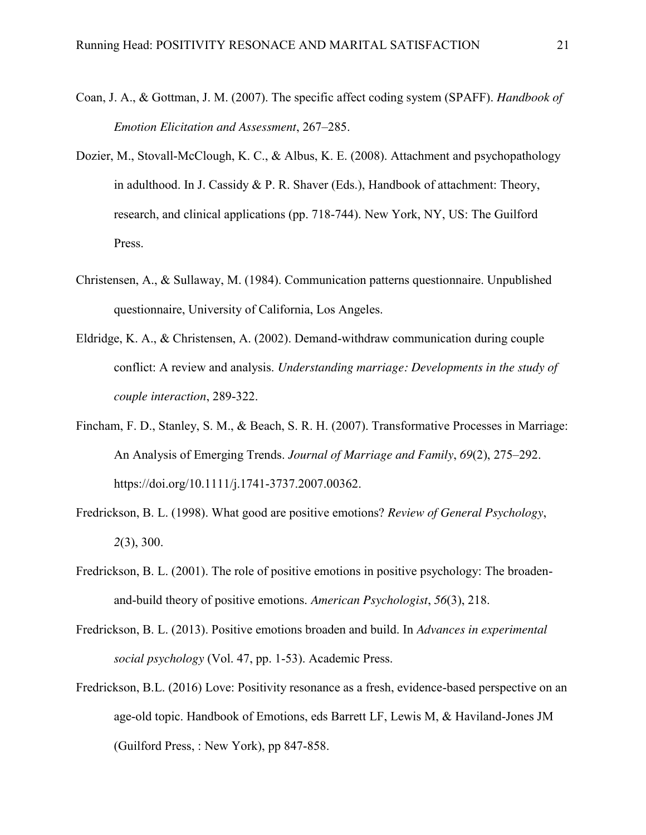- Coan, J. A., & Gottman, J. M. (2007). The specific affect coding system (SPAFF). *Handbook of Emotion Elicitation and Assessment*, 267–285.
- Dozier, M., Stovall-McClough, K. C., & Albus, K. E. (2008). Attachment and psychopathology in adulthood. In J. Cassidy & P. R. Shaver (Eds.), Handbook of attachment: Theory, research, and clinical applications (pp. 718-744). New York, NY, US: The Guilford Press.
- Christensen, A., & Sullaway, M. (1984). Communication patterns questionnaire. Unpublished questionnaire, University of California, Los Angeles.
- Eldridge, K. A., & Christensen, A. (2002). Demand-withdraw communication during couple conflict: A review and analysis. *Understanding marriage: Developments in the study of couple interaction*, 289-322.
- Fincham, F. D., Stanley, S. M., & Beach, S. R. H. (2007). Transformative Processes in Marriage: An Analysis of Emerging Trends. *Journal of Marriage and Family*, *69*(2), 275–292. https://doi.org/10.1111/j.1741-3737.2007.00362.
- Fredrickson, B. L. (1998). What good are positive emotions? *Review of General Psychology*, *2*(3), 300.
- Fredrickson, B. L. (2001). The role of positive emotions in positive psychology: The broadenand-build theory of positive emotions. *American Psychologist*, *56*(3), 218.
- Fredrickson, B. L. (2013). Positive emotions broaden and build. In *Advances in experimental social psychology* (Vol. 47, pp. 1-53). Academic Press.
- Fredrickson, B.L. (2016) Love: Positivity resonance as a fresh, evidence-based perspective on an age-old topic. Handbook of Emotions, eds Barrett LF, Lewis M, & Haviland-Jones JM (Guilford Press, : New York), pp 847-858.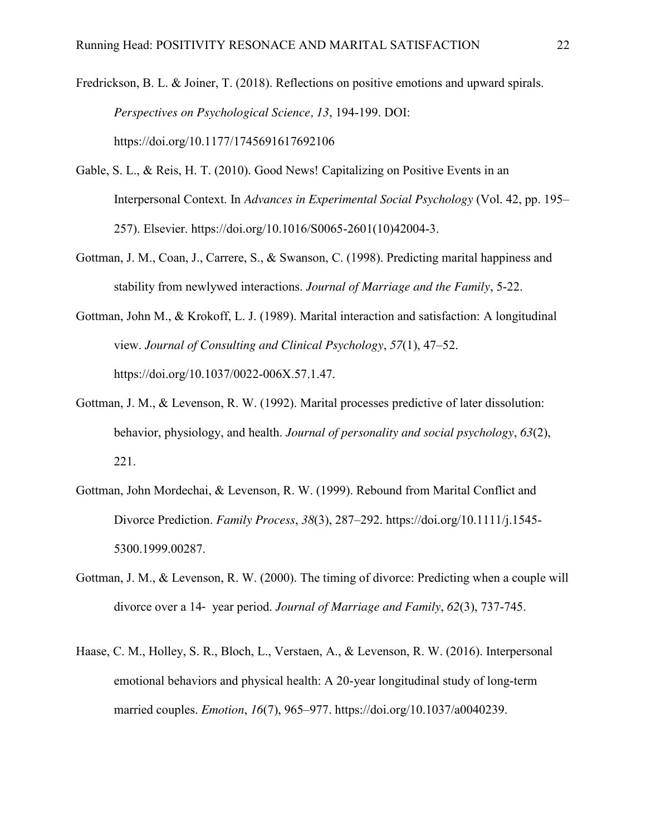Fredrickson, B. L. & Joiner, T. (2018). Reflections on positive emotions and upward spirals. *Perspectives on Psychological Science, 13*, 194-199. DOI: https://doi.org/10.1177/1745691617692106

- Gable, S. L., & Reis, H. T. (2010). Good News! Capitalizing on Positive Events in an Interpersonal Context. In *Advances in Experimental Social Psychology* (Vol. 42, pp. 195– 257). Elsevier. https://doi.org/10.1016/S0065-2601(10)42004-3.
- Gottman, J. M., Coan, J., Carrere, S., & Swanson, C. (1998). Predicting marital happiness and stability from newlywed interactions. *Journal of Marriage and the Family*, 5-22.
- Gottman, John M., & Krokoff, L. J. (1989). Marital interaction and satisfaction: A longitudinal view. *Journal of Consulting and Clinical Psychology*, *57*(1), 47–52. https://doi.org/10.1037/0022-006X.57.1.47.
- Gottman, J. M., & Levenson, R. W. (1992). Marital processes predictive of later dissolution: behavior, physiology, and health. *Journal of personality and social psychology*, *63*(2), 221.
- Gottman, John Mordechai, & Levenson, R. W. (1999). Rebound from Marital Conflict and Divorce Prediction. *Family Process*, *38*(3), 287–292. https://doi.org/10.1111/j.1545- 5300.1999.00287.
- Gottman, J. M., & Levenson, R. W. (2000). The timing of divorce: Predicting when a couple will divorce over a 14‐ year period. *Journal of Marriage and Family*, *62*(3), 737-745.
- Haase, C. M., Holley, S. R., Bloch, L., Verstaen, A., & Levenson, R. W. (2016). Interpersonal emotional behaviors and physical health: A 20-year longitudinal study of long-term married couples. *Emotion*, *16*(7), 965–977. https://doi.org/10.1037/a0040239.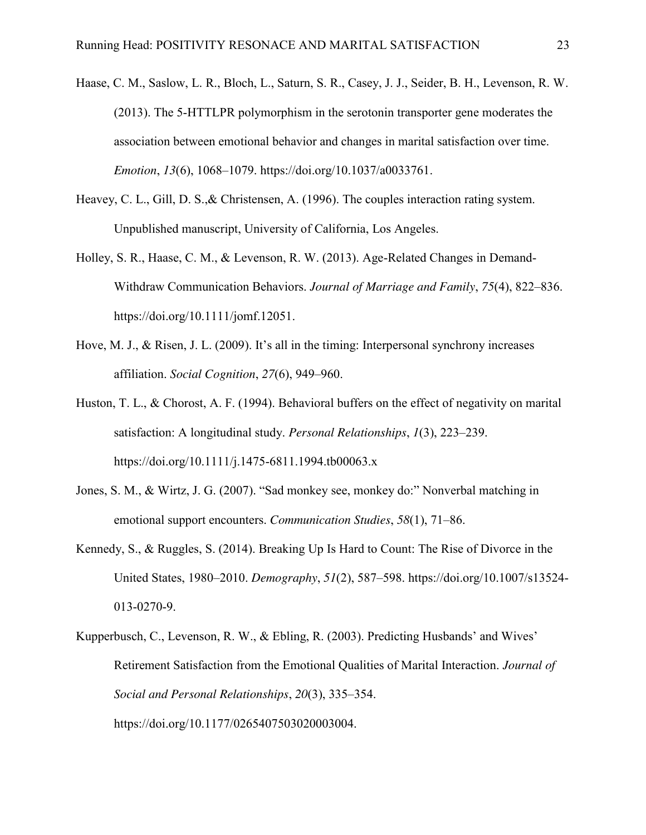- Haase, C. M., Saslow, L. R., Bloch, L., Saturn, S. R., Casey, J. J., Seider, B. H., Levenson, R. W. (2013). The 5-HTTLPR polymorphism in the serotonin transporter gene moderates the association between emotional behavior and changes in marital satisfaction over time. *Emotion*, *13*(6), 1068–1079. https://doi.org/10.1037/a0033761.
- Heavey, C. L., Gill, D. S.,& Christensen, A. (1996). The couples interaction rating system. Unpublished manuscript, University of California, Los Angeles.
- Holley, S. R., Haase, C. M., & Levenson, R. W. (2013). Age-Related Changes in Demand-Withdraw Communication Behaviors. *Journal of Marriage and Family*, *75*(4), 822–836. https://doi.org/10.1111/jomf.12051.
- Hove, M. J., & Risen, J. L. (2009). It's all in the timing: Interpersonal synchrony increases affiliation. *Social Cognition*, *27*(6), 949–960.
- Huston, T. L., & Chorost, A. F. (1994). Behavioral buffers on the effect of negativity on marital satisfaction: A longitudinal study. *Personal Relationships*, *1*(3), 223–239. https://doi.org/10.1111/j.1475-6811.1994.tb00063.x
- Jones, S. M., & Wirtz, J. G. (2007). "Sad monkey see, monkey do:" Nonverbal matching in emotional support encounters. *Communication Studies*, *58*(1), 71–86.
- Kennedy, S., & Ruggles, S. (2014). Breaking Up Is Hard to Count: The Rise of Divorce in the United States, 1980–2010. *Demography*, *51*(2), 587–598. https://doi.org/10.1007/s13524- 013-0270-9.
- Kupperbusch, C., Levenson, R. W., & Ebling, R. (2003). Predicting Husbands' and Wives' Retirement Satisfaction from the Emotional Qualities of Marital Interaction. *Journal of Social and Personal Relationships*, *20*(3), 335–354. https://doi.org/10.1177/0265407503020003004.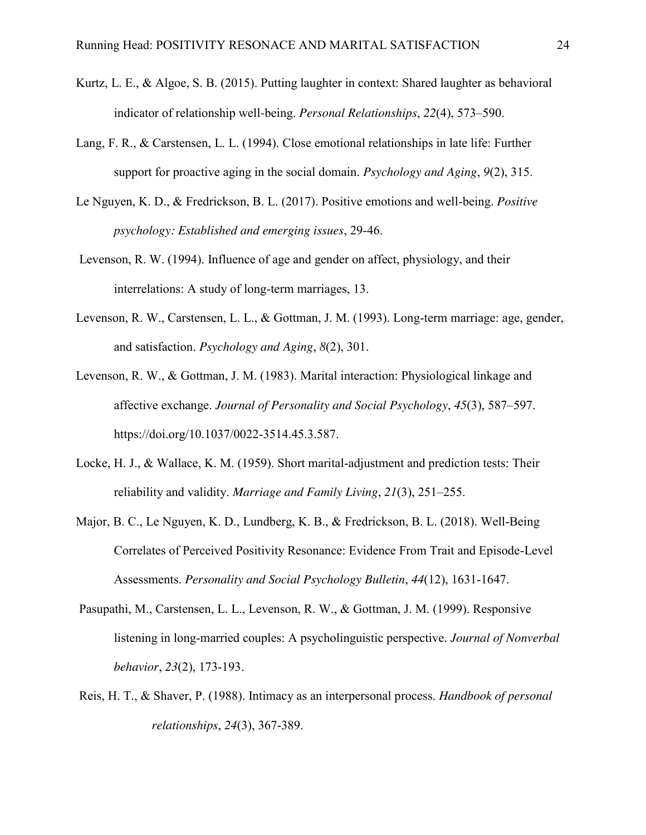- Kurtz, L. E., & Algoe, S. B. (2015). Putting laughter in context: Shared laughter as behavioral indicator of relationship well‐being. *Personal Relationships*, *22*(4), 573–590.
- Lang, F. R., & Carstensen, L. L. (1994). Close emotional relationships in late life: Further support for proactive aging in the social domain. *Psychology and Aging*, *9*(2), 315.
- Le Nguyen, K. D., & Fredrickson, B. L. (2017). Positive emotions and well-being. *Positive psychology: Established and emerging issues*, 29-46.
- Levenson, R. W. (1994). Influence of age and gender on affect, physiology, and their interrelations: A study of long-term marriages, 13.
- Levenson, R. W., Carstensen, L. L., & Gottman, J. M. (1993). Long-term marriage: age, gender, and satisfaction. *Psychology and Aging*, *8*(2), 301.
- Levenson, R. W., & Gottman, J. M. (1983). Marital interaction: Physiological linkage and affective exchange. *Journal of Personality and Social Psychology*, *45*(3), 587–597. https://doi.org/10.1037/0022-3514.45.3.587.
- Locke, H. J., & Wallace, K. M. (1959). Short marital-adjustment and prediction tests: Their reliability and validity. *Marriage and Family Living*, *21*(3), 251–255.
- Major, B. C., Le Nguyen, K. D., Lundberg, K. B., & Fredrickson, B. L. (2018). Well-Being Correlates of Perceived Positivity Resonance: Evidence From Trait and Episode-Level Assessments. *Personality and Social Psychology Bulletin*, *44*(12), 1631-1647.
- Pasupathi, M., Carstensen, L. L., Levenson, R. W., & Gottman, J. M. (1999). Responsive listening in long-married couples: A psycholinguistic perspective. *Journal of Nonverbal behavior*, *23*(2), 173-193.
- Reis, H. T., & Shaver, P. (1988). Intimacy as an interpersonal process. *Handbook of personal relationships*, *24*(3), 367-389.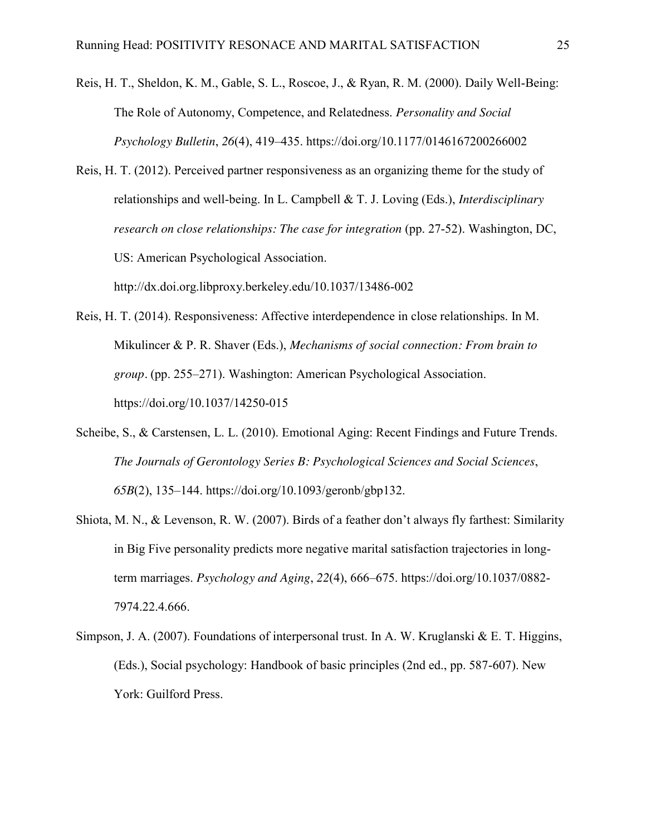Reis, H. T., Sheldon, K. M., Gable, S. L., Roscoe, J., & Ryan, R. M. (2000). Daily Well-Being: The Role of Autonomy, Competence, and Relatedness. *Personality and Social Psychology Bulletin*, *26*(4), 419–435. https://doi.org/10.1177/0146167200266002

Reis, H. T. (2012). Perceived partner responsiveness as an organizing theme for the study of relationships and well-being. In L. Campbell & T. J. Loving (Eds.), *Interdisciplinary research on close relationships: The case for integration* (pp. 27-52). Washington, DC, US: American Psychological Association. http://dx.doi.org.libproxy.berkeley.edu/10.1037/13486-002

- Reis, H. T. (2014). Responsiveness: Affective interdependence in close relationships. In M. Mikulincer & P. R. Shaver (Eds.), *Mechanisms of social connection: From brain to group.* (pp. 255–271). Washington: American Psychological Association. https://doi.org/10.1037/14250-015
- Scheibe, S., & Carstensen, L. L. (2010). Emotional Aging: Recent Findings and Future Trends. *The Journals of Gerontology Series B: Psychological Sciences and Social Sciences*, *65B*(2), 135–144. https://doi.org/10.1093/geronb/gbp132.
- Shiota, M. N., & Levenson, R. W. (2007). Birds of a feather don't always fly farthest: Similarity in Big Five personality predicts more negative marital satisfaction trajectories in longterm marriages. *Psychology and Aging*, *22*(4), 666–675. https://doi.org/10.1037/0882- 7974.22.4.666.
- Simpson, J. A. (2007). Foundations of interpersonal trust. In A. W. Kruglanski & E. T. Higgins, (Eds.), Social psychology: Handbook of basic principles (2nd ed., pp. 587-607). New York: Guilford Press.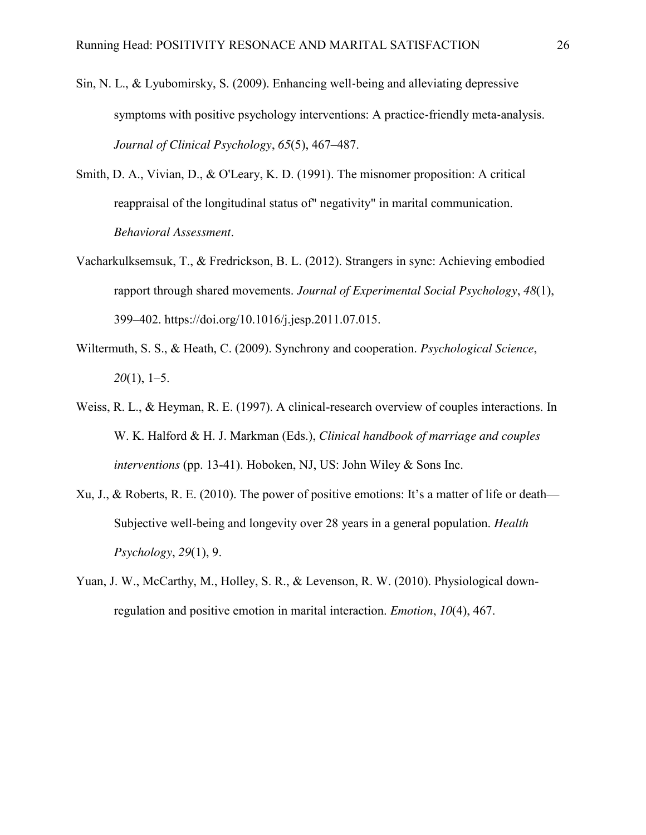- Sin, N. L., & Lyubomirsky, S. (2009). Enhancing well‐being and alleviating depressive symptoms with positive psychology interventions: A practice-friendly meta-analysis. *Journal of Clinical Psychology*, *65*(5), 467–487.
- Smith, D. A., Vivian, D., & O'Leary, K. D. (1991). The misnomer proposition: A critical reappraisal of the longitudinal status of" negativity" in marital communication. *Behavioral Assessment*.
- Vacharkulksemsuk, T., & Fredrickson, B. L. (2012). Strangers in sync: Achieving embodied rapport through shared movements. *Journal of Experimental Social Psychology*, *48*(1), 399–402. https://doi.org/10.1016/j.jesp.2011.07.015.
- Wiltermuth, S. S., & Heath, C. (2009). Synchrony and cooperation. *Psychological Science*, *20*(1), 1–5.
- Weiss, R. L., & Heyman, R. E. (1997). A clinical-research overview of couples interactions. In W. K. Halford & H. J. Markman (Eds.), *Clinical handbook of marriage and couples interventions* (pp. 13-41). Hoboken, NJ, US: John Wiley & Sons Inc.
- Xu, J., & Roberts, R. E. (2010). The power of positive emotions: It's a matter of life or death— Subjective well-being and longevity over 28 years in a general population. *Health Psychology*, *29*(1), 9.
- Yuan, J. W., McCarthy, M., Holley, S. R., & Levenson, R. W. (2010). Physiological downregulation and positive emotion in marital interaction. *Emotion*, *10*(4), 467.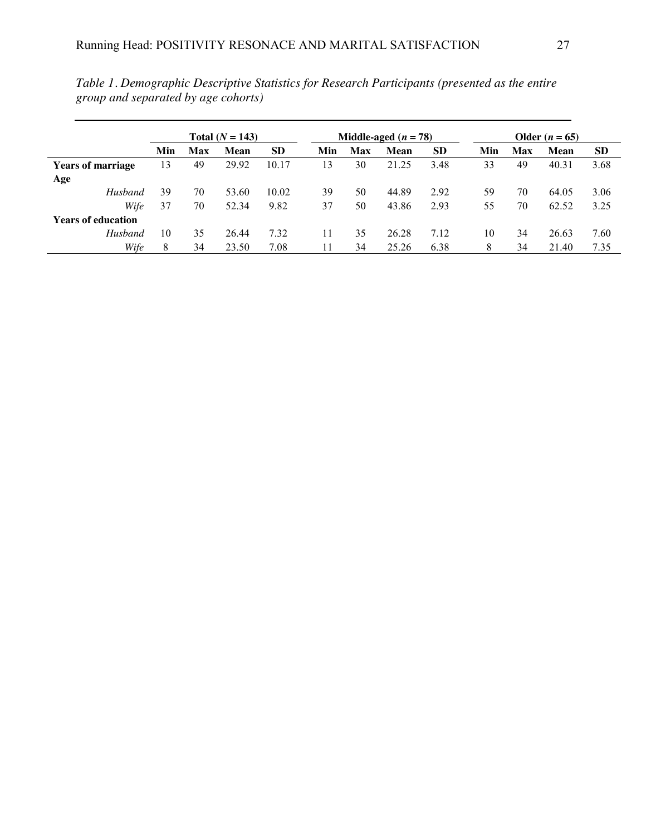|                           | Total $(N = 143)$ |     |       |           | Middle-aged $(n = 78)$ |            |             |           | Older $(n = 65)$ |     |             |           |
|---------------------------|-------------------|-----|-------|-----------|------------------------|------------|-------------|-----------|------------------|-----|-------------|-----------|
|                           | Min               | Max | Mean  | <b>SD</b> | Min                    | <b>Max</b> | <b>Mean</b> | <b>SD</b> | Min              | Max | <b>Mean</b> | <b>SD</b> |
| <b>Years of marriage</b>  | 13                | 49  | 29.92 | 10.17     | 13                     | 30         | 21.25       | 3.48      | 33               | 49  | 40.31       | 3.68      |
| Age                       |                   |     |       |           |                        |            |             |           |                  |     |             |           |
| Husband                   | 39                | 70  | 53.60 | 10.02     | 39                     | 50         | 44.89       | 2.92      | 59               | 70  | 64.05       | 3.06      |
| Wife                      | 37                | 70  | 52.34 | 9.82      | 37                     | 50         | 43.86       | 2.93      | 55               | 70  | 62.52       | 3.25      |
| <b>Years of education</b> |                   |     |       |           |                        |            |             |           |                  |     |             |           |
| Husband                   | 10                | 35  | 26.44 | 7.32      | 11                     | 35         | 26.28       | 7.12      | 10               | 34  | 26.63       | 7.60      |
| Wife                      | 8                 | 34  | 23.50 | 7.08      | 11                     | 34         | 25.26       | 6.38      | 8                | 34  | 21.40       | 7.35      |

*Table 1. Demographic Descriptive Statistics for Research Participants (presented as the entire group and separated by age cohorts)*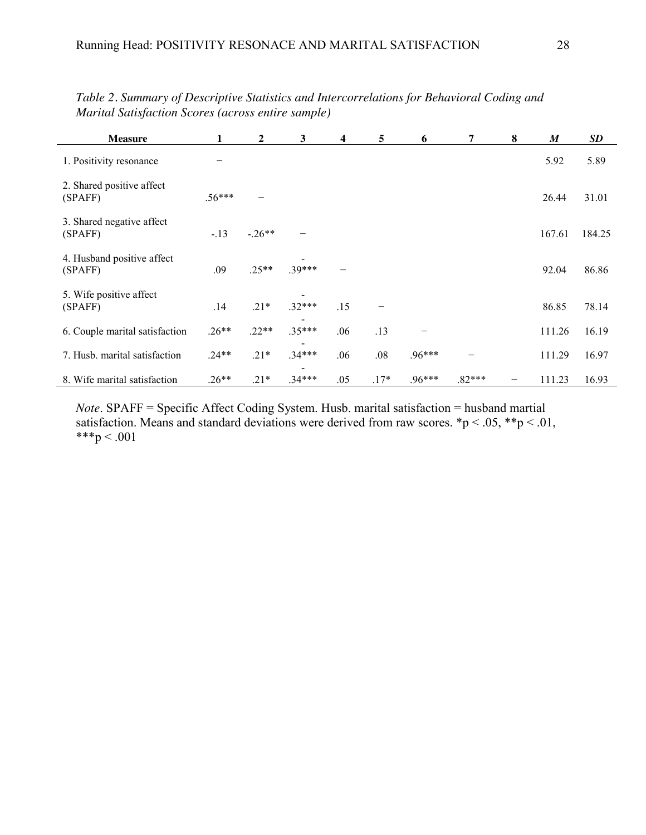| <b>Measure</b>                        |          | 2        | 3        | 4   | 5      | 6        | 7        | 8 | M      | <b>SD</b> |
|---------------------------------------|----------|----------|----------|-----|--------|----------|----------|---|--------|-----------|
| 1. Positivity resonance               |          |          |          |     |        |          |          |   | 5.92   | 5.89      |
| 2. Shared positive affect<br>(SPAFF)  | $.56***$ |          |          |     |        |          |          |   | 26.44  | 31.01     |
| 3. Shared negative affect<br>(SPAFF)  | $-13$    | $-.26**$ |          |     |        |          |          |   | 167.61 | 184.25    |
| 4. Husband positive affect<br>(SPAFF) | .09      | $.25**$  | $.39***$ |     |        |          |          |   | 92.04  | 86.86     |
| 5. Wife positive affect<br>(SPAFF)    | .14      | $.21*$   | $.32***$ | .15 |        |          |          |   | 86.85  | 78.14     |
| 6. Couple marital satisfaction        | $.26**$  | $.22**$  | $.35***$ | .06 | .13    |          |          |   | 111.26 | 16.19     |
| 7. Husb. marital satisfaction         | $.24**$  | $.21*$   | $.34***$ | .06 | .08    | $.96***$ |          |   | 111.29 | 16.97     |
| 8. Wife marital satisfaction          | $.26**$  | $.21*$   | $.34***$ | .05 | $.17*$ | $.96***$ | $.82***$ |   | 111.23 | 16.93     |

*Table 2. Summary of Descriptive Statistics and Intercorrelations for Behavioral Coding and Marital Satisfaction Scores (across entire sample)*

*Note*. SPAFF = Specific Affect Coding System. Husb. marital satisfaction = husband martial satisfaction. Means and standard deviations were derived from raw scores.  $\mathbf{\hat{p}} < .05$ ,  $\mathbf{\hat{p}} < .01$ , \*\*\*p < .001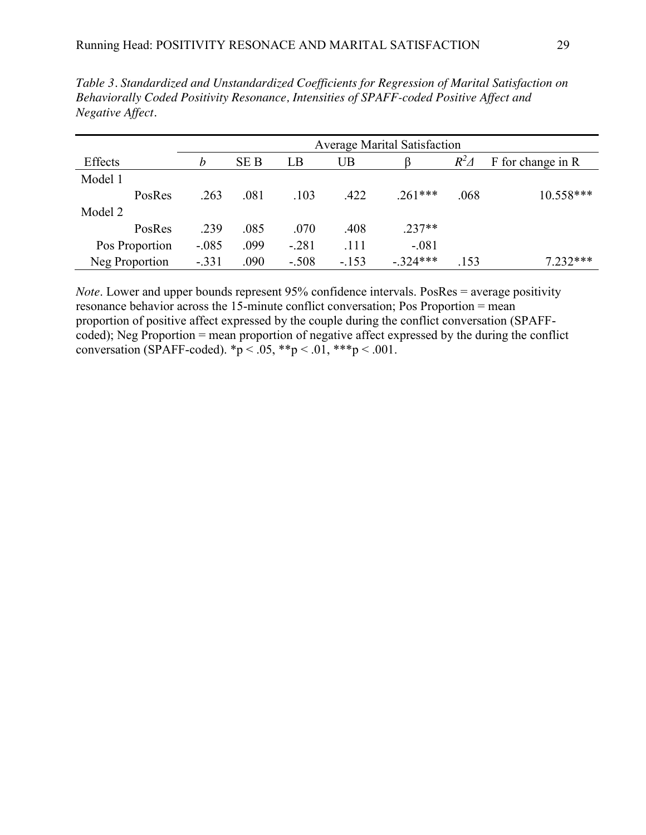|         |                | <b>Average Marital Satisfaction</b> |            |         |        |           |             |                   |  |
|---------|----------------|-------------------------------------|------------|---------|--------|-----------|-------------|-------------------|--|
| Effects |                | b                                   | <b>SEB</b> | LB      | UB     |           | $R^2\Delta$ | F for change in R |  |
| Model 1 |                |                                     |            |         |        |           |             |                   |  |
|         | PosRes         | .263                                | .081       | .103    | .422   | $.261***$ | .068        | 10.558***         |  |
| Model 2 |                |                                     |            |         |        |           |             |                   |  |
|         | PosRes         | .239                                | .085       | .070    | .408   | $.237**$  |             |                   |  |
|         | Pos Proportion | $-.085$                             | .099       | $-.281$ | .111   | $-.081$   |             |                   |  |
|         | Neg Proportion | $-.331$                             | .090       | $-.508$ | $-153$ | $-324***$ | .153        | $7.232***$        |  |

*Table 3. Standardized and Unstandardized Coefficients for Regression of Marital Satisfaction on Behaviorally Coded Positivity Resonance, Intensities of SPAFF-coded Positive Affect and Negative Affect.*

*Note*. Lower and upper bounds represent 95% confidence intervals. PosRes = average positivity resonance behavior across the 15-minute conflict conversation; Pos Proportion = mean proportion of positive affect expressed by the couple during the conflict conversation (SPAFFcoded); Neg Proportion = mean proportion of negative affect expressed by the during the conflict conversation (SPAFF-coded).  ${}^*p$  < .05,  ${}^*{}^p$  < .01,  ${}^*{}^*{}^p$  < .001.